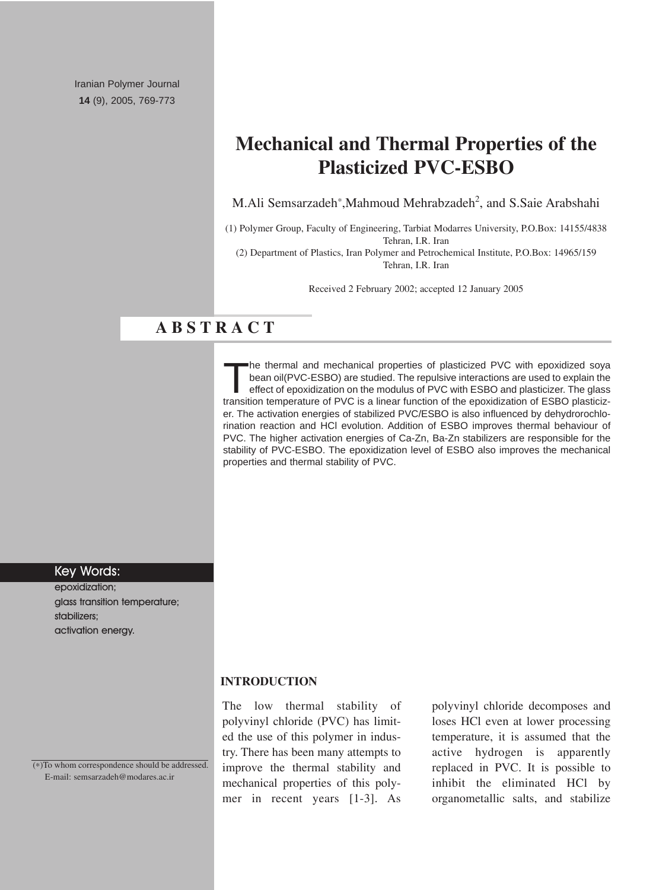Iranian Polymer Journal **14** (9), 2005, 769-773

# **Mechanical and Thermal Properties of the Plasticized PVC-ESBO**

M.Ali Semsarzadeh\*,Mahmoud Mehrabzadeh<sup>2</sup>, and S.Saie Arabshahi

(1) Polymer Group, Faculty of Engineering, Tarbiat Modarres University, P.O.Box: 14155/4838 Tehran, I.R. Iran

(2) Department of Plastics, Iran Polymer and Petrochemical Institute, P.O.Box: 14965/159 Tehran, I.R. Iran

Received 2 February 2002; accepted 12 January 2005

# **ABSTRACT**

The thermal and mechanical properties of plasticized PVC with epoxidized soya<br>bean oil(PVC-ESBO) are studied. The repulsive interactions are used to explain the<br>effect of epoxidization on the modulus of PVC with ESBO and p bean oil(PVC-ESBO) are studied. The repulsive interactions are used to explain the effect of epoxidization on the modulus of PVC with ESBO and plasticizer. The glass transition temperature of PVC is a linear function of the epoxidization of ESBO plasticizer. The activation energies of stabilized PVC/ESBO is also influenced by dehydrorochlorination reaction and HCl evolution. Addition of ESBO improves thermal behaviour of PVC. The higher activation energies of Ca-Zn, Ba-Zn stabilizers are responsible for the stability of PVC-ESBO. The epoxidization level of ESBO also improves the mechanical properties and thermal stability of PVC.

#### Key Words:

epoxidization; glass transition temperature; stabilizers; activation energy.

**INTRODUCTION**

The low thermal stability of polyvinyl chloride (PVC) has limited the use of this polymer in industry. There has been many attempts to improve the thermal stability and mechanical properties of this polymer in recent years [1-3]. As polyvinyl chloride decomposes and loses HCl even at lower processing temperature, it is assumed that the active hydrogen is apparently replaced in PVC. It is possible to inhibit the eliminated HCl by organometallic salts, and stabilize

(\*)To whom correspondence should be addressed. E-mail: semsarzadeh@modares.ac.ir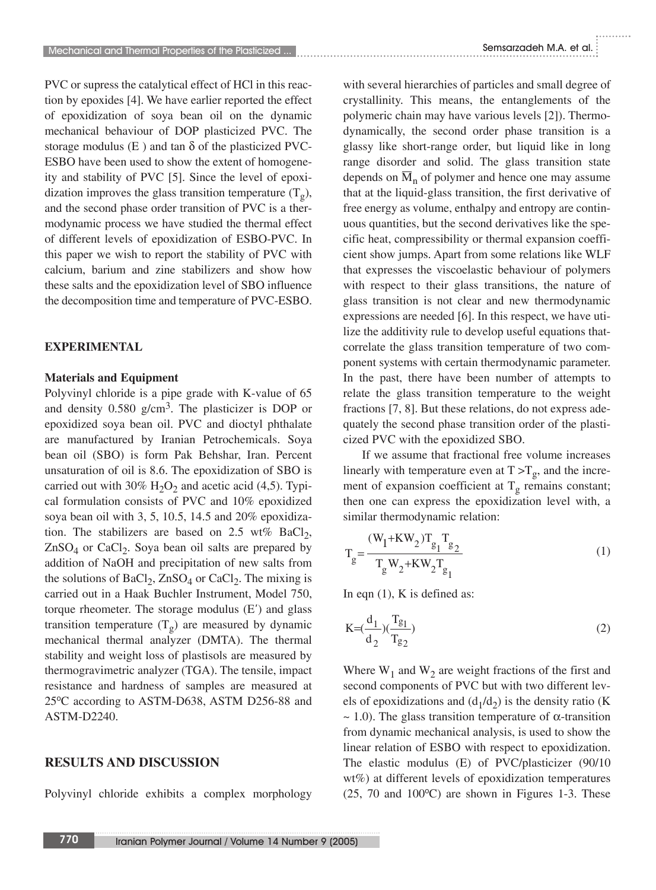PVC or supress the catalytical effect of HCl in this reaction by epoxides [4]. We have earlier reported the effect of epoxidization of soya bean oil on the dynamic mechanical behaviour of DOP plasticized PVC. The storage modulus  $(E)$  and tan  $\delta$  of the plasticized PVC-ESBO have been used to show the extent of homogeneity and stability of PVC [5]. Since the level of epoxidization improves the glass transition temperature  $(T_{\sigma})$ , and the second phase order transition of PVC is a thermodynamic process we have studied the thermal effect of different levels of epoxidization of ESBO-PVC. In this paper we wish to report the stability of PVC with calcium, barium and zine stabilizers and show how these salts and the epoxidization level of SBO influence the decomposition time and temperature of PVC-ESBO.

#### **EXPERIMENTAL**

## **Materials and Equipment**

Polyvinyl chloride is a pipe grade with K-value of 65 and density 0.580 g/cm3. The plasticizer is DOP or epoxidized soya bean oil. PVC and dioctyl phthalate are manufactured by Iranian Petrochemicals. Soya bean oil (SBO) is form Pak Behshar, Iran. Percent unsaturation of oil is 8.6. The epoxidization of SBO is carried out with 30%  $H_2O_2$  and acetic acid (4,5). Typical formulation consists of PVC and 10% epoxidized soya bean oil with 3, 5, 10.5, 14.5 and 20% epoxidization. The stabilizers are based on 2.5 wt% BaCl<sub>2</sub>,  $ZnSO_4$  or  $CaCl<sub>2</sub>$ . Soya bean oil salts are prepared by addition of NaOH and precipitation of new salts from the solutions of BaCl<sub>2</sub>, ZnSO<sub>4</sub> or CaCl<sub>2</sub>. The mixing is carried out in a Haak Buchler Instrument, Model 750, torque rheometer. The storage modulus (E') and glass transition temperature  $(T_g)$  are measured by dynamic mechanical thermal analyzer (DMTA). The thermal stability and weight loss of plastisols are measured by thermogravimetric analyzer (TGA). The tensile, impact resistance and hardness of samples are measured at 25°C according to ASTM-D638, ASTM D256-88 and ASTM-D2240.

#### **RESULTS AND DISCUSSION**

Polyvinyl chloride exhibits a complex morphology

with several hierarchies of particles and small degree of crystallinity. This means, the entanglements of the polymeric chain may have various levels [2]). Thermodynamically, the second order phase transition is a glassy like short-range order, but liquid like in long range disorder and solid. The glass transition state depends on  $\overline{M}_n$  of polymer and hence one may assume that at the liquid-glass transition, the first derivative of free energy as volume, enthalpy and entropy are continuous quantities, but the second derivatives like the specific heat, compressibility or thermal expansion coefficient show jumps. Apart from some relations like WLF that expresses the viscoelastic behaviour of polymers with respect to their glass transitions, the nature of glass transition is not clear and new thermodynamic expressions are needed [6]. In this respect, we have utilize the additivity rule to develop useful equations thatcorrelate the glass transition temperature of two component systems with certain thermodynamic parameter. In the past, there have been number of attempts to relate the glass transition temperature to the weight fractions [7, 8]. But these relations, do not express adequately the second phase transition order of the plasticized PVC with the epoxidized SBO.

If we assume that fractional free volume increases linearly with temperature even at  $T > T_g$ , and the increment of expansion coefficient at  $T_g$  remains constant; then one can express the epoxidization level with, a similar thermodynamic relation:

$$
T_g = \frac{(W_1 + KW_2)T_{g_1}T_{g_2}}{T_g W_2 + KW_2T_{g_1}}
$$
 (1)

In eqn  $(1)$ , K is defined as:

$$
K = \left(\frac{d_1}{d_2}\right)\left(\frac{T_{g_1}}{T_{g_2}}\right) \tag{2}
$$

Where  $W_1$  and  $W_2$  are weight fractions of the first and second components of PVC but with two different levels of epoxidizations and  $(d_1/d_2)$  is the density ratio (K)  $\sim$  1.0). The glass transition temperature of  $\alpha$ -transition from dynamic mechanical analysis, is used to show the linear relation of ESBO with respect to epoxidization. The elastic modulus (E) of PVC/plasticizer (90/10 wt%) at different levels of epoxidization temperatures  $(25, 70$  and  $100^{\circ}$ C) are shown in Figures 1-3. These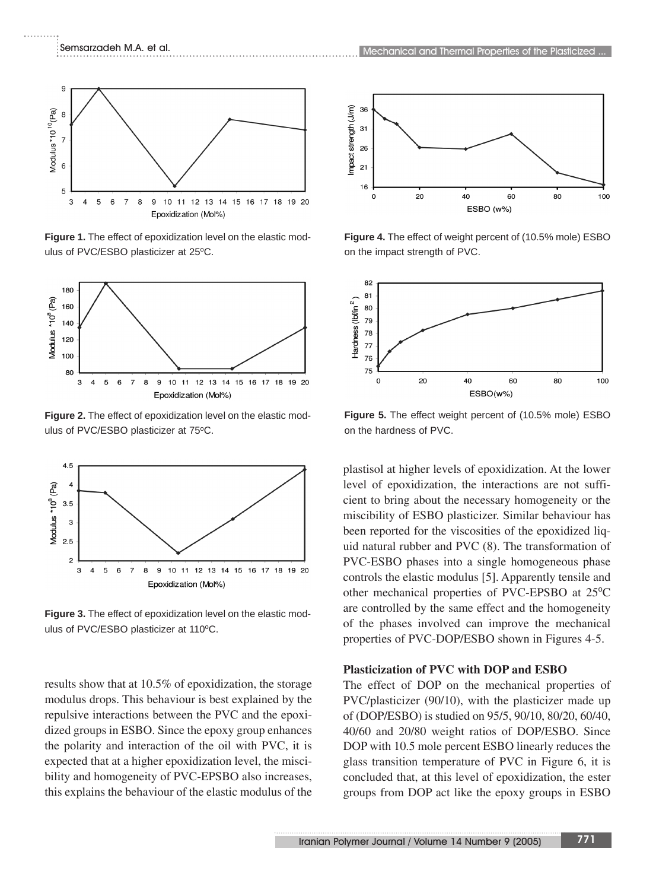

**Figure 1.** The effect of epoxidization level on the elastic modulus of PVC/ESBO plasticizer at 25°C.



**Figure 2.** The effect of epoxidization level on the elastic modulus of PVC/ESBO plasticizer at 75°C.



**Figure 3.** The effect of epoxidization level on the elastic modulus of PVC/ESBO plasticizer at 110°C.

results show that at 10.5% of epoxidization, the storage modulus drops. This behaviour is best explained by the repulsive interactions between the PVC and the epoxidized groups in ESBO. Since the epoxy group enhances the polarity and interaction of the oil with PVC, it is expected that at a higher epoxidization level, the miscibility and homogeneity of PVC-EPSBO also increases, this explains the behaviour of the elastic modulus of the



**Figure 4.** The effect of weight percent of (10.5% mole) ESBO on the impact strength of PVC.



**Figure 5.** The effect weight percent of (10.5% mole) ESBO on the hardness of PVC.

plastisol at higher levels of epoxidization. At the lower level of epoxidization, the interactions are not sufficient to bring about the necessary homogeneity or the miscibility of ESBO plasticizer. Similar behaviour has been reported for the viscosities of the epoxidized liquid natural rubber and PVC (8). The transformation of PVC-ESBO phases into a single homogeneous phase controls the elastic modulus [5]. Apparently tensile and other mechanical properties of PVC-EPSBO at 25°C are controlled by the same effect and the homogeneity of the phases involved can improve the mechanical properties of PVC-DOP/ESBO shown in Figures 4-5.

## **Plasticization of PVC with DOP and ESBO**

The effect of DOP on the mechanical properties of PVC/plasticizer (90/10), with the plasticizer made up of (DOP/ESBO) is studied on 95/5, 90/10, 80/20, 60/40, 40/60 and 20/80 weight ratios of DOP/ESBO. Since DOP with 10.5 mole percent ESBO linearly reduces the glass transition temperature of PVC in Figure 6, it is concluded that, at this level of epoxidization, the ester groups from DOP act like the epoxy groups in ESBO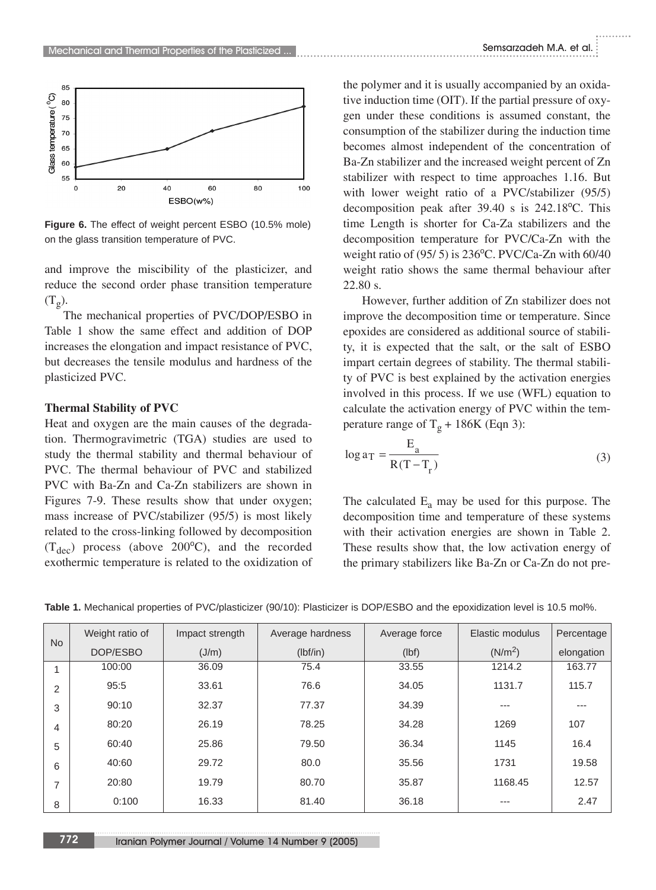

**Figure 6.** The effect of weight percent ESBO (10.5% mole) on the glass transition temperature of PVC.

and improve the miscibility of the plasticizer, and reduce the second order phase transition temperature  $(T_{\sigma}).$ 

The mechanical properties of PVC/DOP/ESBO in Table 1 show the same effect and addition of DOP increases the elongation and impact resistance of PVC, but decreases the tensile modulus and hardness of the plasticized PVC.

#### **Thermal Stability of PVC**

Heat and oxygen are the main causes of the degradation. Thermogravimetric (TGA) studies are used to study the thermal stability and thermal behaviour of PVC. The thermal behaviour of PVC and stabilized PVC with Ba-Zn and Ca-Zn stabilizers are shown in Figures 7-9. These results show that under oxygen; mass increase of PVC/stabilizer (95/5) is most likely related to the cross-linking followed by decomposition  $(T_{dec})$  process (above 200°C), and the recorded exothermic temperature is related to the oxidization of the polymer and it is usually accompanied by an oxidative induction time (OIT). If the partial pressure of oxygen under these conditions is assumed constant, the consumption of the stabilizer during the induction time becomes almost independent of the concentration of Ba-Zn stabilizer and the increased weight percent of Zn stabilizer with respect to time approaches 1.16. But with lower weight ratio of a PVC/stabilizer (95/5) decomposition peak after 39.40 s is 242.18°C. This time Length is shorter for Ca-Za stabilizers and the decomposition temperature for PVC/Ca-Zn with the weight ratio of (95/ 5) is 236°C. PVC/Ca-Zn with 60/40 weight ratio shows the same thermal behaviour after 22.80 s.

However, further addition of Zn stabilizer does not improve the decomposition time or temperature. Since epoxides are considered as additional source of stability, it is expected that the salt, or the salt of ESBO impart certain degrees of stability. The thermal stability of PVC is best explained by the activation energies involved in this process. If we use (WFL) equation to calculate the activation energy of PVC within the temperature range of  $T_g$  + 186K (Eqn 3):

$$
\log a_{\rm T} = \frac{\rm E_{a}}{\rm R(T - T_{r})}
$$
\n(3)

The calculated  $E_a$  may be used for this purpose. The decomposition time and temperature of these systems with their activation energies are shown in Table 2. These results show that, the low activation energy of the primary stabilizers like Ba-Zn or Ca-Zn do not pre-

| <b>No</b>      | Weight ratio of | Impact strength | Average hardness | Average force | Elastic modulus | Percentage |
|----------------|-----------------|-----------------|------------------|---------------|-----------------|------------|
|                | DOP/ESBO        | (J/m)           | (lbf/in)         | (lbf)         | $(N/m^2)$       | elongation |
|                | 100:00          | 36.09           | 75.4             | 33.55         | 1214.2          | 163.77     |
| $\overline{2}$ | 95:5            | 33.61           | 76.6             | 34.05         | 1131.7          | 115.7      |
| 3              | 90:10           | 32.37           | 77.37            | 34.39         | ---             |            |
| 4              | 80:20           | 26.19           | 78.25            | 34.28         | 1269            | 107        |
| 5              | 60:40           | 25.86           | 79.50            | 36.34         | 1145            | 16.4       |
| 6              | 40:60           | 29.72           | 80.0             | 35.56         | 1731            | 19.58      |
| $\overline{ }$ | 20:80           | 19.79           | 80.70            | 35.87         | 1168.45         | 12.57      |
| 8              | 0:100           | 16.33           | 81.40            | 36.18         | ---             | 2.47       |

**Table 1.** Mechanical properties of PVC/plasticizer (90/10): Plasticizer is DOP/ESBO and the epoxidization level is 10.5 mol%.